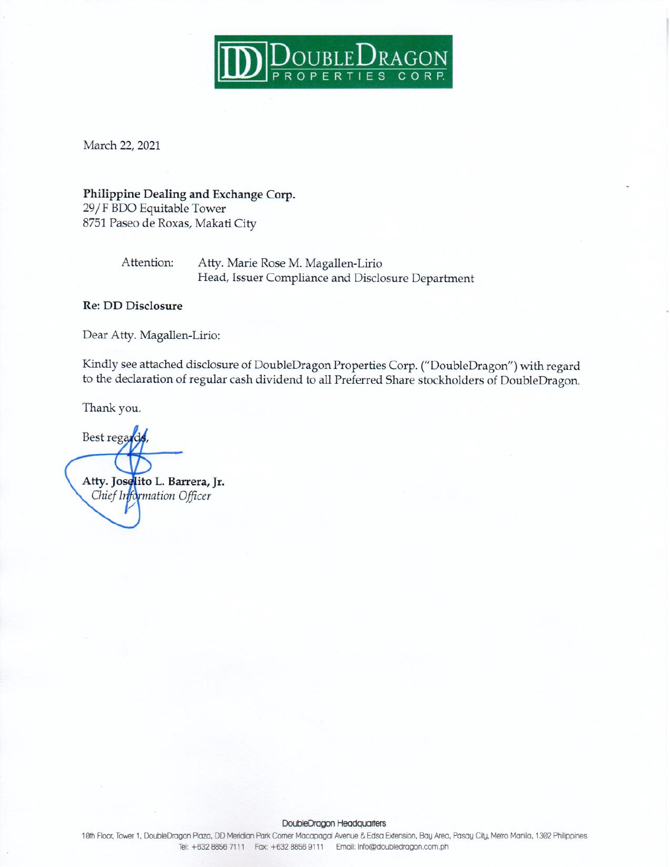

March 22, 2021

### Philippine Dealing and Exchange Corp. 29/F BDO Equitable Tower

8751 Paseo de Roxas, Makati City

Attention: Atty. Marie Rose M. Magallen-Lirio Head, Issuer Compliance and Disclosure Department

### **Re: DD Disclosure**

Dear Atty. Magallen-Lirio:

Kindly see attached disclosure of DoubleDragon Properties Corp. ("DoubleDragon") with regard to the declaration of regular cash dividend to all Preferred Share stockholders of DoubleDragon.

Thank you.

Best regards Atty. Joselito L. Barrera, Jr. Chief Information Officer

#### DoubleDragon Headquarters

10th Floor, Tower 1, DoubleDragon Plaza, DD Meridian Park Comer Macapagal Avenue & Edsa Extension, Bay Area, Pasay City, Metro Manila, 1302 Philippines Tel: +632 8856 7111 Fax: +632 8856 9111 Email: Info@doubledragon.com.ph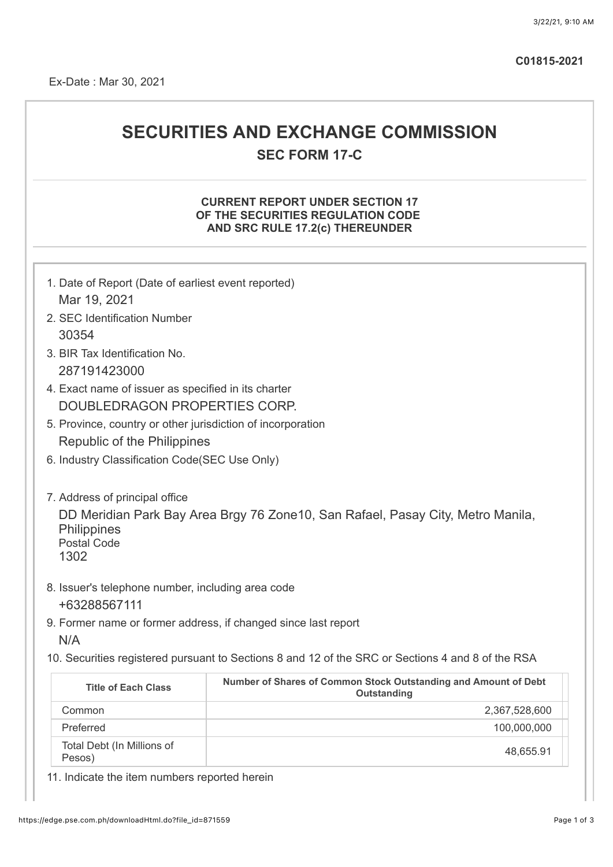**C01815-2021**

# **SECURITIES AND EXCHANGE COMMISSION SEC FORM 17-C**

### **CURRENT REPORT UNDER SECTION 17 OF THE SECURITIES REGULATION CODE AND SRC RULE 17.2(c) THEREUNDER**

| 1. Date of Report (Date of earliest event reported)                   |                                                                                                   |  |  |  |
|-----------------------------------------------------------------------|---------------------------------------------------------------------------------------------------|--|--|--|
| Mar 19, 2021                                                          |                                                                                                   |  |  |  |
| 2. SEC Identification Number                                          |                                                                                                   |  |  |  |
| 30354                                                                 |                                                                                                   |  |  |  |
| 3. BIR Tax Identification No.                                         |                                                                                                   |  |  |  |
| 287191423000                                                          |                                                                                                   |  |  |  |
| 4. Exact name of issuer as specified in its charter                   |                                                                                                   |  |  |  |
| DOUBLEDRAGON PROPERTIES CORP.                                         |                                                                                                   |  |  |  |
| 5. Province, country or other jurisdiction of incorporation           |                                                                                                   |  |  |  |
| Republic of the Philippines                                           |                                                                                                   |  |  |  |
| 6. Industry Classification Code(SEC Use Only)                         |                                                                                                   |  |  |  |
| <b>Philippines</b><br><b>Postal Code</b><br>1302                      |                                                                                                   |  |  |  |
| 8. Issuer's telephone number, including area code<br>+63288567111     |                                                                                                   |  |  |  |
| 9. Former name or former address, if changed since last report<br>N/A |                                                                                                   |  |  |  |
|                                                                       | 10. Securities registered pursuant to Sections 8 and 12 of the SRC or Sections 4 and 8 of the RSA |  |  |  |
| <b>Title of Each Class</b>                                            | Number of Shares of Common Stock Outstanding and Amount of Debt<br>Outstanding                    |  |  |  |
| Common                                                                | 2,367,528,600                                                                                     |  |  |  |
| Preferred                                                             | 100,000,000                                                                                       |  |  |  |
| Total Debt (In Millions of<br>Pesos)                                  | 48,655.91                                                                                         |  |  |  |

11. Indicate the item numbers reported herein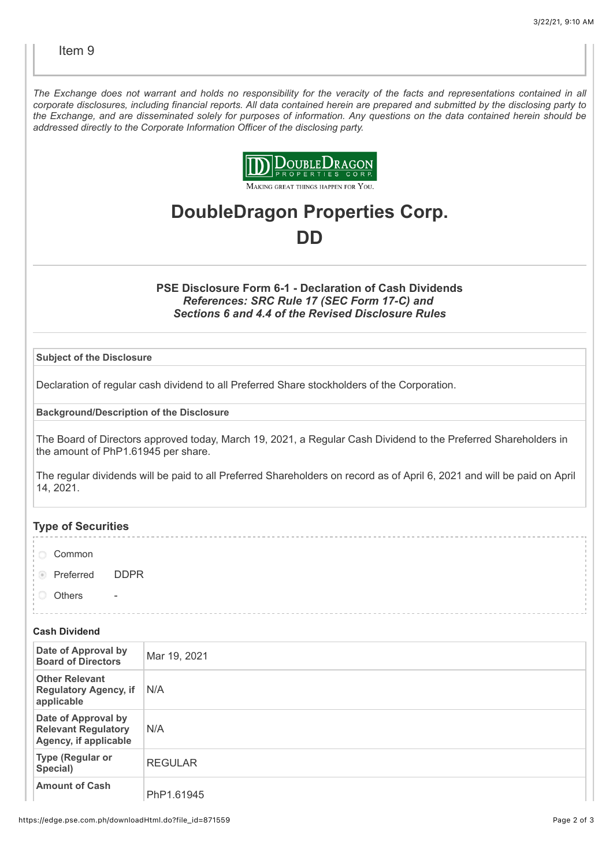*The Exchange does not warrant and holds no responsibility for the veracity of the facts and representations contained in all corporate disclosures, including financial reports. All data contained herein are prepared and submitted by the disclosing party to the Exchange, and are disseminated solely for purposes of information. Any questions on the data contained herein should be addressed directly to the Corporate Information Officer of the disclosing party.*



**DoubleDragon Properties Corp.**

## **DD**

### **PSE Disclosure Form 6-1 - Declaration of Cash Dividends** *References: SRC Rule 17 (SEC Form 17-C) and Sections 6 and 4.4 of the Revised Disclosure Rules*

### **Subject of the Disclosure**

Declaration of regular cash dividend to all Preferred Share stockholders of the Corporation.

**Background/Description of the Disclosure**

The Board of Directors approved today, March 19, 2021, a Regular Cash Dividend to the Preferred Shareholders in the amount of PhP1.61945 per share.

The regular dividends will be paid to all Preferred Shareholders on record as of April 6, 2021 and will be paid on April 14, 2021.

### **Type of Securities**

- Common
- **Preferred DDPR**
- **Others**

#### **Cash Dividend**

| Date of Approval by<br><b>Board of Directors</b>                           | Mar 19, 2021   |
|----------------------------------------------------------------------------|----------------|
| <b>Other Relevant</b><br><b>Regulatory Agency, if</b><br>applicable        | N/A            |
| Date of Approval by<br><b>Relevant Regulatory</b><br>Agency, if applicable | N/A            |
| <b>Type (Regular or</b><br>Special)                                        | <b>REGULAR</b> |
| <b>Amount of Cash</b>                                                      | PhP1.61945     |